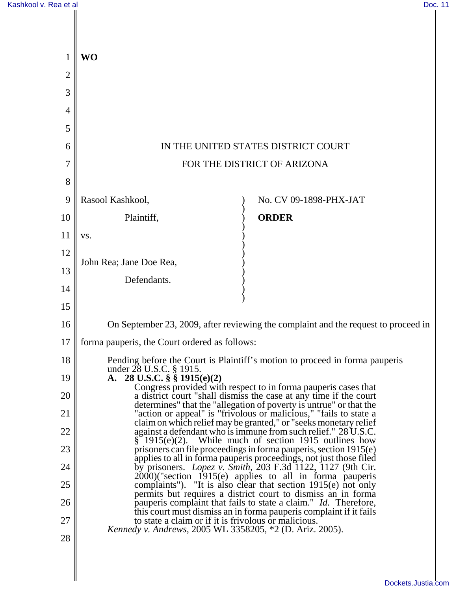| 1              | <b>WO</b>                                                                                                                                                                                                    |                                                                |
|----------------|--------------------------------------------------------------------------------------------------------------------------------------------------------------------------------------------------------------|----------------------------------------------------------------|
| $\overline{2}$ |                                                                                                                                                                                                              |                                                                |
| 3              |                                                                                                                                                                                                              |                                                                |
| 4              |                                                                                                                                                                                                              |                                                                |
| 5              |                                                                                                                                                                                                              |                                                                |
| 6              | IN THE UNITED STATES DISTRICT COURT                                                                                                                                                                          |                                                                |
| 7              | FOR THE DISTRICT OF ARIZONA                                                                                                                                                                                  |                                                                |
| 8              |                                                                                                                                                                                                              |                                                                |
| 9              | Rasool Kashkool,                                                                                                                                                                                             | No. CV 09-1898-PHX-JAT                                         |
| 10             | Plaintiff,                                                                                                                                                                                                   | <b>ORDER</b>                                                   |
| 11             | VS.                                                                                                                                                                                                          |                                                                |
| 12             | John Rea; Jane Doe Rea,                                                                                                                                                                                      |                                                                |
| 13             | Defendants.                                                                                                                                                                                                  |                                                                |
| 14             |                                                                                                                                                                                                              |                                                                |
| 15             |                                                                                                                                                                                                              |                                                                |
| 16             | On September 23, 2009, after reviewing the complaint and the request to proceed in                                                                                                                           |                                                                |
| 17             | forma pauperis, the Court ordered as follows:                                                                                                                                                                |                                                                |
| 18             | Pending before the Court is Plaintiff's motion to proceed in forma pauperis<br>under 28 U.S.C. § 1915.                                                                                                       |                                                                |
| 19             | A. 28 U.S.C. $\S$ $\S$ 1915(e)(2)                                                                                                                                                                            |                                                                |
| 20             | Congress provided with respect to in forma pauperis cases that<br>a district court "shall dismiss the case at any time if the court                                                                          |                                                                |
| 21             | determines" that the "allegation of poverty is untrue" or that the<br>"action or appeal" is "frivolous or malicious," "fails to state a<br>claim on which relief may be granted," or "seeks monetary relief  |                                                                |
| 22             |                                                                                                                                                                                                              | against a defendant who is immune from such relief." 28 U.S.C. |
| 23             | $\frac{8}{3}$ 1915(e)(2). While much of section 1915 outlines how<br>prisoners can file proceedings in forma pauperis, section 1915(e)<br>applies to all in forma pauperis proceedings, not just those filed |                                                                |
| 24             | by prisoners. <i>Lopez</i> $\tilde{v}$ . <i>Smith</i> , 203 F.3d 1122, 1127 (9th Cir.<br>$2000$ )("section 1915(e) applies to all in forma pauperis                                                          |                                                                |
| 25             | complaints"). "It is also clear that section $1915(e)$ not only                                                                                                                                              |                                                                |
| 26             | permits but requires a district court to dismiss an in forma<br>pauperis complaint that fails to state a claim." Id. Therefore,<br>this court must dismiss an in forma pauperis complaint if it fails        |                                                                |
| 27             | to state a claim or if it is frivolous or malicious.<br><i>Kennedy v. Andrews, 2005 WL 3358205, *2 (D. Ariz. 2005).</i>                                                                                      |                                                                |
| 28             |                                                                                                                                                                                                              |                                                                |
|                |                                                                                                                                                                                                              |                                                                |